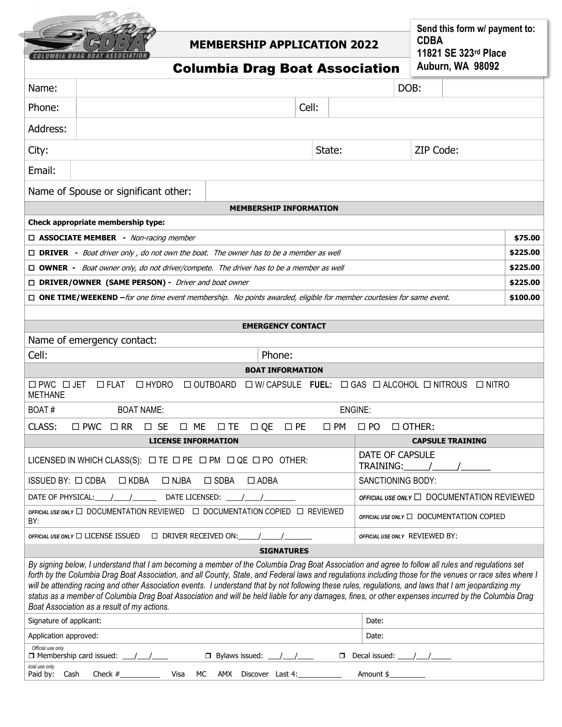

## **MEMBERSHIP APPLICATION 2022**

**Send this form w/ payment to: CDBA 11821 SE 323rd Place Auburn, WA 98092**

Columbia Drag Boat Association

| Name:                                                                                                                                                                                                                                                                                                                                                                                                                                                                                                                                                                                                                                                                            |                                                                                                                                              |  |  |  | DOB:                                            |  |          |          |
|----------------------------------------------------------------------------------------------------------------------------------------------------------------------------------------------------------------------------------------------------------------------------------------------------------------------------------------------------------------------------------------------------------------------------------------------------------------------------------------------------------------------------------------------------------------------------------------------------------------------------------------------------------------------------------|----------------------------------------------------------------------------------------------------------------------------------------------|--|--|--|-------------------------------------------------|--|----------|----------|
| Phone:                                                                                                                                                                                                                                                                                                                                                                                                                                                                                                                                                                                                                                                                           | Cell:                                                                                                                                        |  |  |  |                                                 |  |          |          |
| Address:                                                                                                                                                                                                                                                                                                                                                                                                                                                                                                                                                                                                                                                                         |                                                                                                                                              |  |  |  |                                                 |  |          |          |
| City:                                                                                                                                                                                                                                                                                                                                                                                                                                                                                                                                                                                                                                                                            | State:                                                                                                                                       |  |  |  | ZIP Code:                                       |  |          |          |
| Email:                                                                                                                                                                                                                                                                                                                                                                                                                                                                                                                                                                                                                                                                           |                                                                                                                                              |  |  |  |                                                 |  |          |          |
| Name of Spouse or significant other:                                                                                                                                                                                                                                                                                                                                                                                                                                                                                                                                                                                                                                             |                                                                                                                                              |  |  |  |                                                 |  |          |          |
| <b>MEMBERSHIP INFORMATION</b>                                                                                                                                                                                                                                                                                                                                                                                                                                                                                                                                                                                                                                                    |                                                                                                                                              |  |  |  |                                                 |  |          |          |
| Check appropriate membership type:                                                                                                                                                                                                                                                                                                                                                                                                                                                                                                                                                                                                                                               |                                                                                                                                              |  |  |  |                                                 |  |          |          |
| □ ASSOCIATE MEMBER - Non-racing member                                                                                                                                                                                                                                                                                                                                                                                                                                                                                                                                                                                                                                           |                                                                                                                                              |  |  |  |                                                 |  |          | \$75.00  |
| $\Box$ DRIVER - Boat driver only, do not own the boat. The owner has to be a member as well                                                                                                                                                                                                                                                                                                                                                                                                                                                                                                                                                                                      |                                                                                                                                              |  |  |  |                                                 |  |          | \$225.00 |
| $\Box$ OWNER - Boat owner only, do not driver/compete. The driver has to be a member as well                                                                                                                                                                                                                                                                                                                                                                                                                                                                                                                                                                                     |                                                                                                                                              |  |  |  |                                                 |  |          | \$225.00 |
| <b>DRIVER/OWNER (SAME PERSON)</b> - Driver and boat owner                                                                                                                                                                                                                                                                                                                                                                                                                                                                                                                                                                                                                        |                                                                                                                                              |  |  |  |                                                 |  |          | \$225.00 |
| □ ONE TIME/WEEKEND -for one time event membership. No points awarded, eligible for member courtesies for same event.                                                                                                                                                                                                                                                                                                                                                                                                                                                                                                                                                             |                                                                                                                                              |  |  |  |                                                 |  | \$100.00 |          |
| <b>EMERGENCY CONTACT</b>                                                                                                                                                                                                                                                                                                                                                                                                                                                                                                                                                                                                                                                         |                                                                                                                                              |  |  |  |                                                 |  |          |          |
| Name of emergency contact:                                                                                                                                                                                                                                                                                                                                                                                                                                                                                                                                                                                                                                                       |                                                                                                                                              |  |  |  |                                                 |  |          |          |
| Cell:<br>Phone:                                                                                                                                                                                                                                                                                                                                                                                                                                                                                                                                                                                                                                                                  |                                                                                                                                              |  |  |  |                                                 |  |          |          |
| <b>BOAT INFORMATION</b>                                                                                                                                                                                                                                                                                                                                                                                                                                                                                                                                                                                                                                                          |                                                                                                                                              |  |  |  |                                                 |  |          |          |
| $\square$ PWC $\square$ JET<br>$\square$ FLAT<br>$\Box$ HYDRO<br>$\Box$ OUTBOARD<br>$\Box$ W/CAPSULE FUEL: $\Box$ GAS $\Box$ ALCOHOL $\Box$ NITROUS $\Box$ NITRO<br><b>METHANE</b>                                                                                                                                                                                                                                                                                                                                                                                                                                                                                               |                                                                                                                                              |  |  |  |                                                 |  |          |          |
| BOAT#                                                                                                                                                                                                                                                                                                                                                                                                                                                                                                                                                                                                                                                                            | <b>ENGINE:</b><br><b>BOAT NAME:</b>                                                                                                          |  |  |  |                                                 |  |          |          |
| CLASS:                                                                                                                                                                                                                                                                                                                                                                                                                                                                                                                                                                                                                                                                           | $\Box$ QE $\Box$ PE<br>$\square$ PWC $\square$ RR<br>$\square$ SE<br>$\square$ ME $\square$ TE<br>$\square$ PM<br>$\Box$ PO<br>$\Box$ OTHER: |  |  |  |                                                 |  |          |          |
| <b>LICENSE INFORMATION</b><br><b>CAPSULE TRAINING</b>                                                                                                                                                                                                                                                                                                                                                                                                                                                                                                                                                                                                                            |                                                                                                                                              |  |  |  |                                                 |  |          |          |
| LICENSED IN WHICH CLASS(S): $\Box$ TE $\Box$ PE $\Box$ PM $\Box$ QE $\Box$ PO OTHER:                                                                                                                                                                                                                                                                                                                                                                                                                                                                                                                                                                                             |                                                                                                                                              |  |  |  | DATE OF CAPSULE<br><b>TRAINING:</b>             |  |          |          |
| $ISSUED BY: \Box CDBA$<br>$\Box$ KDBA<br>$\Box$ NJBA<br>$\Box$ SDBA<br>$\Box$ ADBA                                                                                                                                                                                                                                                                                                                                                                                                                                                                                                                                                                                               |                                                                                                                                              |  |  |  | <b>SANCTIONING BODY:</b>                        |  |          |          |
| DATE OF PHYSICAL:<br>DATE LICENSED:                                                                                                                                                                                                                                                                                                                                                                                                                                                                                                                                                                                                                                              |                                                                                                                                              |  |  |  | OFFICIAL USE ONLY <b>DOCUMENTATION REVIEWED</b> |  |          |          |
| OFFICIAL USE ONLY $\Box$ DOCUMENTATION REVIEWED $\Box$ DOCUMENTATION COPIED $\Box$ REVIEWED<br>BY:                                                                                                                                                                                                                                                                                                                                                                                                                                                                                                                                                                               |                                                                                                                                              |  |  |  | OFFICIAL USE ONLY <b>DOCUMENTATION</b> COPIED   |  |          |          |
| OFFICIAL USE ONLY <b>COLL</b> ICENSE ISSUED<br>□ DRIVER RECEIVED ON:                                                                                                                                                                                                                                                                                                                                                                                                                                                                                                                                                                                                             |                                                                                                                                              |  |  |  | OFFICIAL USE ONLY REVIEWED BY:                  |  |          |          |
| <b>SIGNATURES</b>                                                                                                                                                                                                                                                                                                                                                                                                                                                                                                                                                                                                                                                                |                                                                                                                                              |  |  |  |                                                 |  |          |          |
| By signing below, I understand that I am becoming a member of the Columbia Drag Boat Association and agree to follow all rules and regulations set<br>forth by the Columbia Drag Boat Association, and all County, State, and Federal laws and regulations including those for the venues or race sites where I<br>will be attending racing and other Association events. I understand that by not following these rules, regulations, and laws that I am jeopardizing my<br>status as a member of Columbia Drag Boat Association and will be held liable for any damages, fines, or other expenses incurred by the Columbia Drag<br>Boat Association as a result of my actions. |                                                                                                                                              |  |  |  |                                                 |  |          |          |
| Signature of applicant:                                                                                                                                                                                                                                                                                                                                                                                                                                                                                                                                                                                                                                                          |                                                                                                                                              |  |  |  | Date:                                           |  |          |          |
| Application approved:                                                                                                                                                                                                                                                                                                                                                                                                                                                                                                                                                                                                                                                            |                                                                                                                                              |  |  |  | Date:                                           |  |          |          |
| Official use only<br>$\Box$ Membership card issued:<br>$\Box$ Bylaws issued:<br>Decal issued:<br>Π<br>icial use only                                                                                                                                                                                                                                                                                                                                                                                                                                                                                                                                                             |                                                                                                                                              |  |  |  |                                                 |  |          |          |
| Cash<br>Check $#$<br>Visa<br>МC<br>Discover Last 4:<br>Amount \$<br>Paid by:<br>AMX                                                                                                                                                                                                                                                                                                                                                                                                                                                                                                                                                                                              |                                                                                                                                              |  |  |  |                                                 |  |          |          |